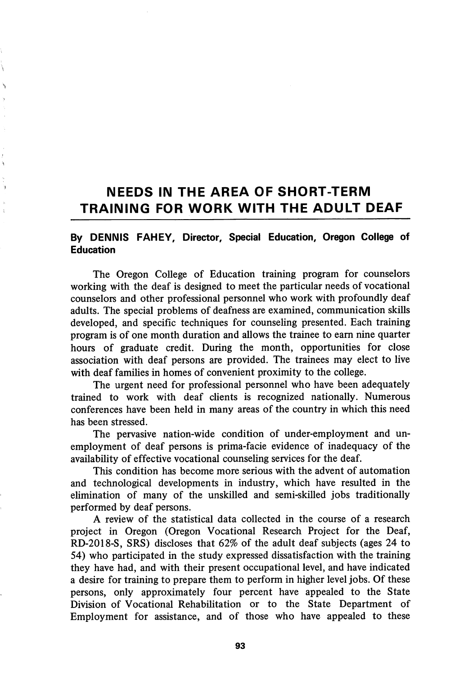## NEEDS IN THE AREA OF SHORT-TERM TRAINING FOR WORK WITH THE ADULT DEAF

## By DENNIS FAHEY, Director, Special Education, Oregon College of Education

The Oregon College of Education training program for counselors working with the deaf is designed to meet the particular needs of vocational counselors and other professional personnel who work with profoundly deaf adults. The special problems of deafness are examined, communication skills developed, and specific techniques for counseling presented. Each training program is of one month duration and allows the trainee to earn nine quarter hours of graduate credit. During the month, opportunities for close association with deaf persons are provided. The trainees may elect to live with deaf families in homes of convenient proximity to the college.

The urgent need for professional personnel who have been adequately trained to work with deaf clients is recognized nationally. Numerous conferences have been held in many areas of the country in which this need has been stressed.

The pervasive nation-wide condition of under-employment and un employment of deaf persons is prima-facie evidence of inadequacy of the availability of effective vocational counseling services for the deaf.

This condition has become more serious with the advent of automation and technological developments in industry, which have resulted in the elimination of many of the unskilled and semi-skilled jobs traditionally performed by deaf persons.

A review of the statistical data collected in the course of a research project in Oregon (Oregon Vocational Research Project for the Deaf, RD-2018-S, SRS) discloses that 62% of the adult deaf subjects (ages 24 to 54) who participated in the study expressed dissatisfaction with the training they have had, and with their present occupational level, and have indicated a desire for training to prepare them to perform in higher level jobs. Of these persons, only approximately four percent have appealed to the State Division of Vocational Rehabilitation or to the State Department of Employment for assistance, and of those who have appealed to these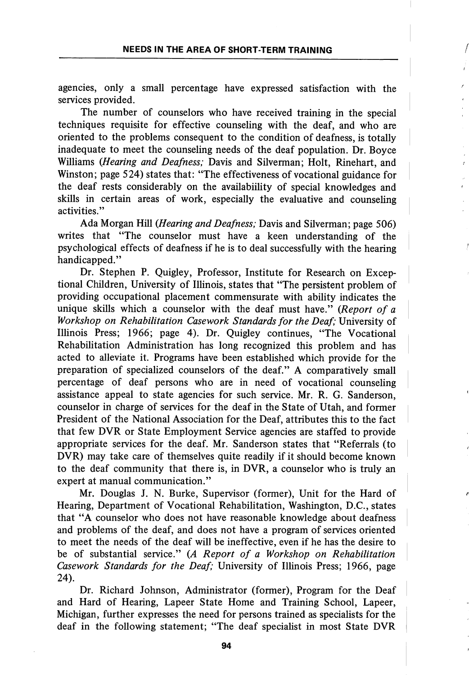agencies, only a small percentage have expressed satisfaction with the services provided.

The number of counselors who have received training in the special techniques requisite for effective counseling with the deaf, and who are oriented to the problems consequent to the condition of deafness, is totally inadequate to meet the counseling needs of the deaf population. Dr. Boyce Williams (Hearing and Deafness; Davis and Silverman; Holt, Rinehart, and Winston; page 524) states that; "The effectiveness of vocational guidance for the deaf rests considerably on the availabiility of special knowledges and skills in certain areas of work, especially the evaluative and counseling activities."

Ada Morgan Hill {Hearing and Deafness; Davis and Silverman; page 506) writes that "The counselor must have a keen understanding of the psychological effects of deafness if he is to deal successfully with the hearing handicapped."

Dr. Stephen P. Quigley, Professor, Institute for Research on Excep tional Children, University of Illinois, states that "The persistent problem of providing occupational placement commensurate with ability indicates the unique skills which a counselor with the deaf must have." (Report of a Workshop on Rehabilitation Casework Standards for the Deaf; University of Illinois Press; 1966; page 4). Dr. Quigley continues, "The Vocational Rehabilitation Administration has long recognized this problem and has acted to alleviate it. Programs have been established which provide for the preparation of specialized counselors of the deaf." A comparatively small percentage of deaf persons who are in need of vocational counseling assistance appeal to state agencies for such service. Mr. R. G. Sanderson, counselor in charge of services for the deaf in the State of Utah, and former President of the National Association for the Deaf, attributes this to the fact that few DVR or State Employment Service agencies are staffed to provide appropriate services for the deaf. Mr. Sanderson states that "Referrals (to DVR) may take care of themselves quite readily if it should become known to the deaf community that there is, in DVR, a counselor who is truly an expert at manual communication."

Mr. Douglas J. N. Burke, Supervisor (former). Unit for the Hard of Hearing, Department of Vocational Rehabilitation, Washington, D.C., states that "A counselor who does not have reasonable knowledge about deafness and problems of the deaf, and does not have a program of services oriented to meet the needs of the deaf will be ineffective, even if he has the desire to be of substantial service." (A Report of a Workshop on Rehabilitation Casework Standards for the Deaf; University of Illinois Press; 1966, page 24).

Dr. Richard Johnson, Administrator (former). Program for the Deaf and Hard of Hearing, Lapeer State Home and Training School, Lapeer, Michigan, further expresses the need for persons trained as specialists for the deaf in the following statement; "The deaf specialist in most State DVR

94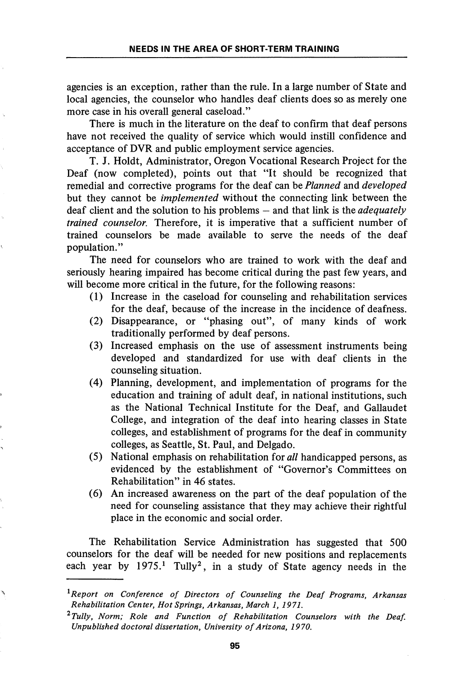agencies is an exception, rather than the rule. In a large number of State and local agencies, the counselor who handles deaf clients does so as merely one more case in his overall general caseload."

There is much in the literature on the deaf to confirm that deaf persons have not received the quality of service which would instill confidence and acceptance of DVR and public employment service agencies.

T. J. Holdt, Administrator, Oregon Vocational Research Project for the Deaf (now completed), points out that "It should be recognized that remedial and corrective programs for the deaf can be Planned and developed but they cannot be *implemented* without the connecting link between the deaf client and the solution to his problems  $-$  and that link is the *adequately* trained counselor. Therefore, it is imperative that a sufficient number of trained counselors be made available to serve the needs of the deaf population."

The need for counselors who are trained to work with the deaf and seriously hearing impaired has become critical during the past few years, and will become more critical in the future, for the following reasons:

- (1) Increase in the caseload for counseling and rehabilitation services for the deaf, because of the increase in the incidence of deafness.
- (2) Disappearance, or "phasing out", of many kinds of work traditionally performed by deaf persons.
- (3) Increased emphasis on the use of assessment instruments being developed and standardized for use with deaf clients in the counseling situation.
- (4) Planning, development, and implementation of programs for the education and training of adult deaf, in national institutions, such as the National Technical Institute for the Deaf, and Gallaudet College, and integration of the deaf into hearing classes in State colleges, and establishment of programs for the deaf in community colleges, as Seattle, St. Paul, and Delgado.
- (5) National emphasis on rehabilitation for all handicapped persons, as evidenced by the establishment of "Governor's Committees on Rehabilitation" in 46 states.
- (6) An increased awareness on the part of the deaf population of the need for counseling assistance that they may achieve their rightful place in the economic and social order.

The Rehabilitation Service Administration has suggested that 500 counselors for the deaf will be needed for new positions and replacements each year by  $1975<sup>1</sup>$  Tully<sup>2</sup>, in a study of State agency needs in the

 ${}^{1}$ Report on Conference of Directors of Counseling the Deaf Programs, Arkansas Rehabilitation Center, Hot Springs, Arkansas, March 1, 1971.

 $^{2}$ Tully, Norm; Role and Function of Rehabilitation Counselors with the Deaf. Unpublished doctoral dissertation. University of Arizona, 1970.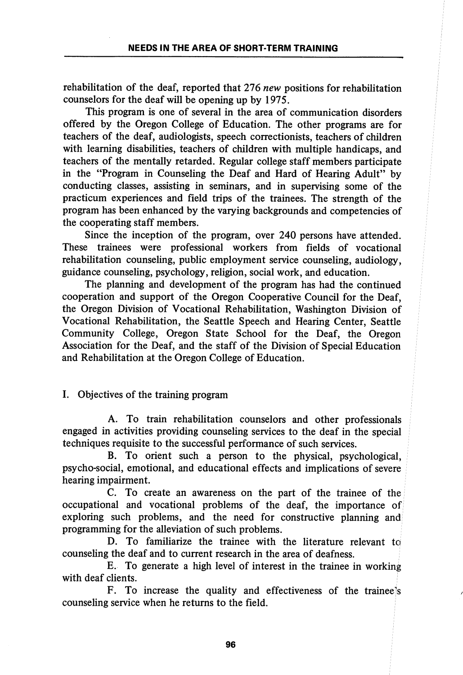rehabilitation of the deaf, reported that 276 new positions for rehabilitation counselors for the deaf will be opening up by 1975.

This program is one of several in the area of communication disorders offered by the Oregon College of Education. The other programs are for teachers of the deaf, audiologists, speech correctionists, teachers of children with learning disabilities, teachers of children with multiple handicaps, and teachers of the mentally retarded. Regular college staff members participate in the "Program in Counseling the Deaf and Hard of Hearing Adult" by conducting classes, assisting in seminars, and in supervising some of the practicum experiences and field trips of the trainees. The strength of the program has been enhanced by the varying backgrounds and competencies of the cooperating staff members.

Since the inception of the program, over 240 persons have attended. These trainees were professional workers from fields of vocational rehabilitation counseling, public employment service counseling, audiology, guidance counseling, psychology, religion, social work, and education.

The planning and development of the program has had the continued cooperation and support of the Oregon Cooperative Council for the Deaf, the Oregon Division of Vocational Rehabilitation, Washington Division of Vocational Rehabilitation, the Seattle Speech and Hearing Center, Seattle Community College, Oregon State School for the Deaf, the Oregon Association for the Deaf, and the staff of the Division of Special Education and Rehabilitation at the Oregon College of Education.

## I. Objectives of the training program

A. To train rehabilitation counselors and other professionals engaged in activities providing counseling services to the deaf in the special techniques requisite to the successful performance of such services.

B. To orient such a person to the physical, psychological, psycho-social, emotional, and educational effects and implications of severe hearing impairment.

C. To create an awareness on the part of the trainee of the occupational and vocational problems of the deaf, the importance of exploring such problems, and the need for constructive planning and programming for the alleviation of such problems.

D. To familiarize the trainee with the literature relevant to counseling the deaf and to current research in the area of deafness.

E. To generate a high level of interest in the trainee in working with deaf clients.

F. To increase the quality and effectiveness of the traineels counseling service when he returns to the field.